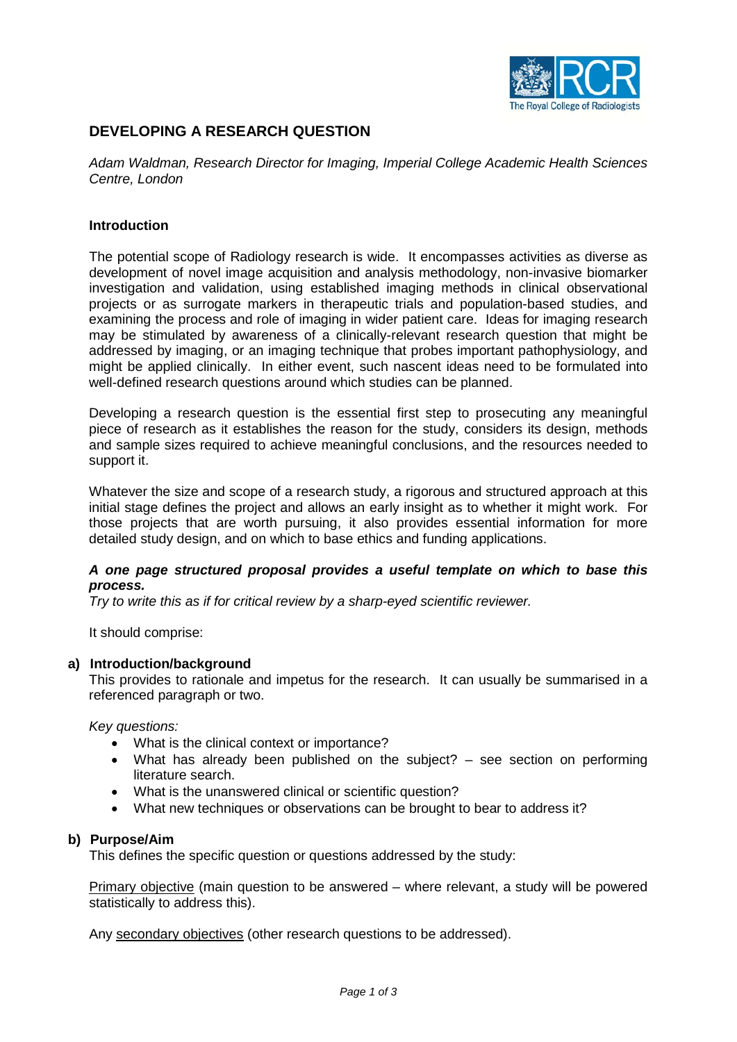

# **DEVELOPING A RESEARCH QUESTION**

*Adam Waldman, Research Director for Imaging, Imperial College Academic Health Sciences Centre, London*

## **Introduction**

The potential scope of Radiology research is wide. It encompasses activities as diverse as development of novel image acquisition and analysis methodology, non-invasive biomarker investigation and validation, using established imaging methods in clinical observational projects or as surrogate markers in therapeutic trials and population-based studies, and examining the process and role of imaging in wider patient care. Ideas for imaging research may be stimulated by awareness of a clinically-relevant research question that might be addressed by imaging, or an imaging technique that probes important pathophysiology, and might be applied clinically. In either event, such nascent ideas need to be formulated into well-defined research questions around which studies can be planned.

Developing a research question is the essential first step to prosecuting any meaningful piece of research as it establishes the reason for the study, considers its design, methods and sample sizes required to achieve meaningful conclusions, and the resources needed to support it.

Whatever the size and scope of a research study, a rigorous and structured approach at this initial stage defines the project and allows an early insight as to whether it might work. For those projects that are worth pursuing, it also provides essential information for more detailed study design, and on which to base ethics and funding applications.

## *A one page structured proposal provides a useful template on which to base this process.*

*Try to write this as if for critical review by a sharp-eyed scientific reviewer.*

It should comprise:

#### **a) Introduction/background**

This provides to rationale and impetus for the research. It can usually be summarised in a referenced paragraph or two.

*Key questions:*

- What is the clinical context or importance?
- What has already been published on the subject? see section on performing literature search.
- What is the unanswered clinical or scientific question?
- What new techniques or observations can be brought to bear to address it?

#### **b) Purpose/Aim**

This defines the specific question or questions addressed by the study:

Primary objective (main question to be answered – where relevant, a study will be powered statistically to address this).

Any secondary objectives (other research questions to be addressed).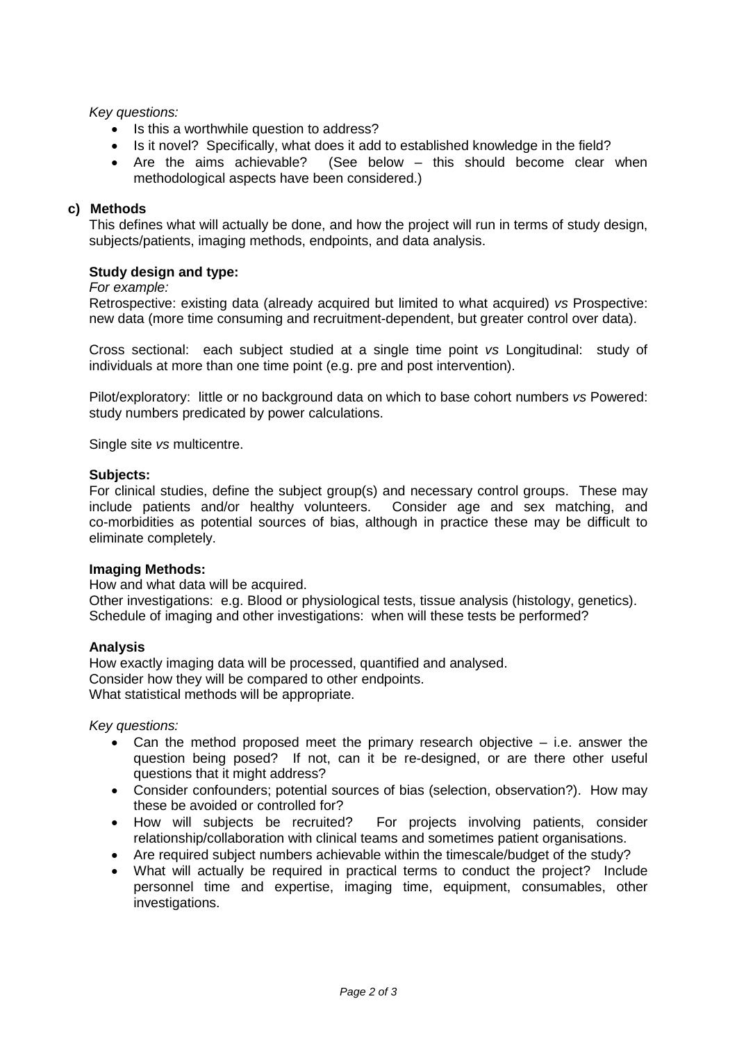## *Key questions:*

- Is this a worthwhile question to address?
- Is it novel? Specifically, what does it add to established knowledge in the field?
- Are the aims achievable? (See below this should become clear when methodological aspects have been considered.)

## **c) Methods**

This defines what will actually be done, and how the project will run in terms of study design, subjects/patients, imaging methods, endpoints, and data analysis.

## **Study design and type:**

#### *For example:*

Retrospective: existing data (already acquired but limited to what acquired) *vs* Prospective: new data (more time consuming and recruitment-dependent, but greater control over data).

Cross sectional: each subject studied at a single time point *vs* Longitudinal: study of individuals at more than one time point (e.g. pre and post intervention).

Pilot/exploratory: little or no background data on which to base cohort numbers *vs* Powered: study numbers predicated by power calculations.

Single site *vs* multicentre.

#### **Subjects:**

For clinical studies, define the subject group(s) and necessary control groups. These may include patients and/or healthy volunteers. Consider age and sex matching, and co-morbidities as potential sources of bias, although in practice these may be difficult to eliminate completely.

#### **Imaging Methods:**

How and what data will be acquired.

Other investigations: e.g. Blood or physiological tests, tissue analysis (histology, genetics). Schedule of imaging and other investigations: when will these tests be performed?

#### **Analysis**

How exactly imaging data will be processed, quantified and analysed. Consider how they will be compared to other endpoints. What statistical methods will be appropriate.

*Key questions:*

- Can the method proposed meet the primary research objective i.e. answer the question being posed? If not, can it be re-designed, or are there other useful questions that it might address?
- Consider confounders; potential sources of bias (selection, observation?). How may these be avoided or controlled for?
- How will subjects be recruited? For projects involving patients, consider relationship/collaboration with clinical teams and sometimes patient organisations.
- Are required subject numbers achievable within the timescale/budget of the study?
- What will actually be required in practical terms to conduct the project? Include personnel time and expertise, imaging time, equipment, consumables, other investigations.